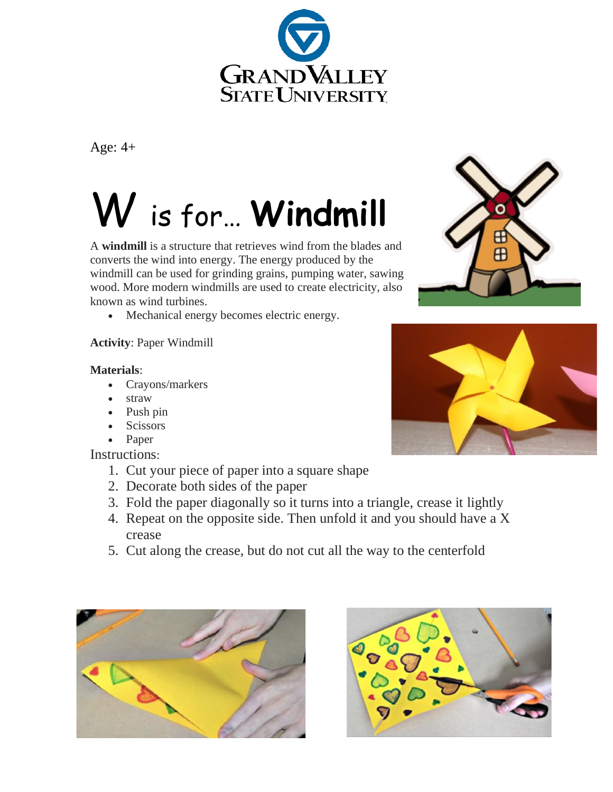

Age: 4+

## W is for… **Windmill**

A **windmill** is a structure that retrieves wind from the blades and converts the wind into energy. The energy produced by the windmill can be used for grinding grains, pumping water, sawing wood. More modern windmills are used to create electricity, also known as wind turbines.

• Mechanical energy becomes electric energy.

## **Activity**: Paper Windmill

## **Materials**:

- Crayons/markers
- straw
- Push pin
- Scissors
- Paper

Instructions:

- 1. Cut your piece of paper into a square shape
- 2. Decorate both sides of the paper
- 3. Fold the paper diagonally so it turns into a triangle, crease it lightly
- 4. Repeat on the opposite side. Then unfold it and you should have a X crease
- 5. Cut along the crease, but do not cut all the way to the centerfold